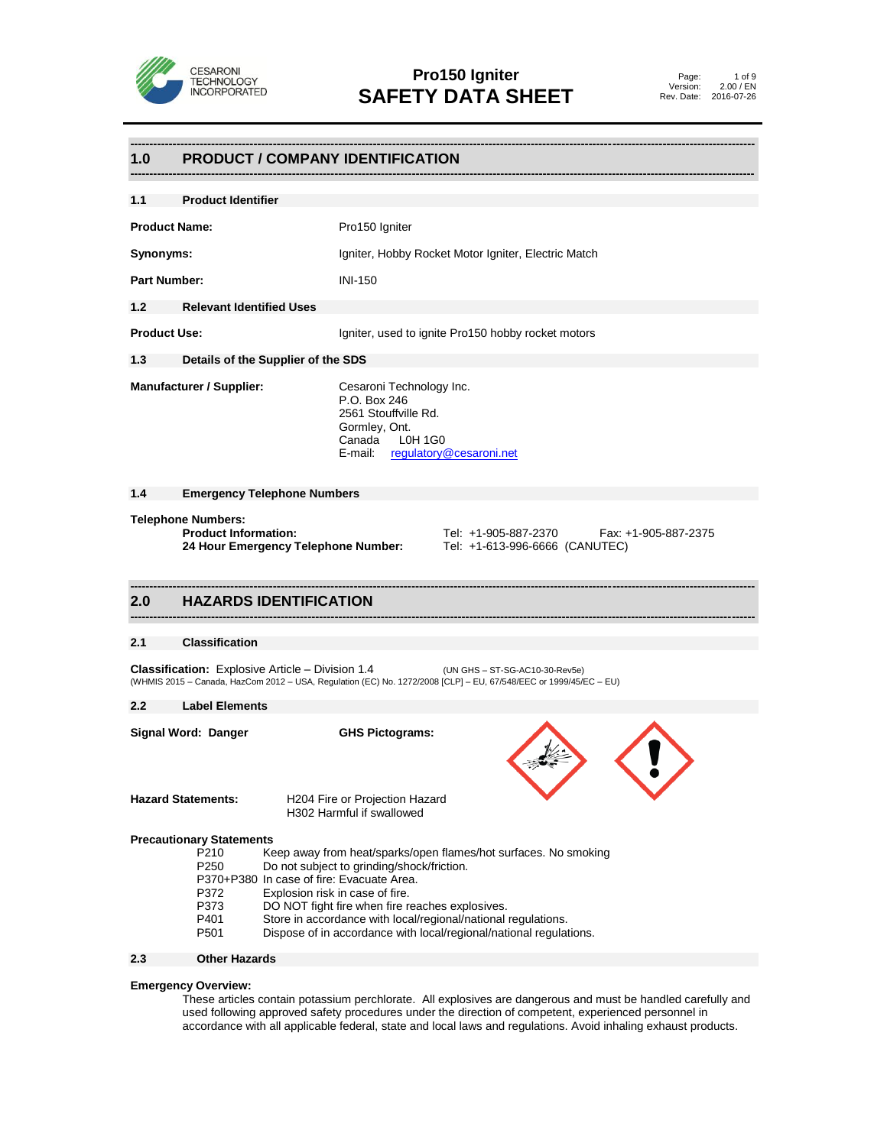

# **------------------------------------------------------------------------------------------------------------------------------------------------------------------ 1.0 PRODUCT / COMPANY IDENTIFICATION**

| 1.1                  | <b>Product Identifier</b>                                                                                                                                                         |                                                                                                                                                                                                                |  |  |  |
|----------------------|-----------------------------------------------------------------------------------------------------------------------------------------------------------------------------------|----------------------------------------------------------------------------------------------------------------------------------------------------------------------------------------------------------------|--|--|--|
| <b>Product Name:</b> |                                                                                                                                                                                   | Pro150 Igniter                                                                                                                                                                                                 |  |  |  |
| Synonyms:            |                                                                                                                                                                                   | Igniter, Hobby Rocket Motor Igniter, Electric Match                                                                                                                                                            |  |  |  |
| <b>Part Number:</b>  |                                                                                                                                                                                   | <b>INI-150</b>                                                                                                                                                                                                 |  |  |  |
| 1.2                  | <b>Relevant Identified Uses</b>                                                                                                                                                   |                                                                                                                                                                                                                |  |  |  |
| <b>Product Use:</b>  |                                                                                                                                                                                   | Igniter, used to ignite Pro150 hobby rocket motors                                                                                                                                                             |  |  |  |
| 1.3                  |                                                                                                                                                                                   | Details of the Supplier of the SDS                                                                                                                                                                             |  |  |  |
|                      | <b>Manufacturer / Supplier:</b>                                                                                                                                                   | Cesaroni Technology Inc.<br>P.O. Box 246<br>2561 Stouffville Rd.<br>Gormley, Ont.<br>Canada<br>L0H 1G0<br>E-mail: regulatory@cesaroni.net                                                                      |  |  |  |
| 1.4                  |                                                                                                                                                                                   | <b>Emergency Telephone Numbers</b>                                                                                                                                                                             |  |  |  |
|                      | <b>Telephone Numbers:</b><br><b>Product Information:</b><br>Tel: +1-905-887-2370<br>Fax: +1-905-887-2375<br>24 Hour Emergency Telephone Number:<br>Tel: +1-613-996-6666 (CANUTEC) |                                                                                                                                                                                                                |  |  |  |
|                      |                                                                                                                                                                                   |                                                                                                                                                                                                                |  |  |  |
| 2.0                  |                                                                                                                                                                                   | <b>HAZARDS IDENTIFICATION</b>                                                                                                                                                                                  |  |  |  |
| 2.1                  | <b>Classification</b>                                                                                                                                                             |                                                                                                                                                                                                                |  |  |  |
|                      |                                                                                                                                                                                   | <b>Classification:</b> Explosive Article – Division 1.4<br>(UN GHS - ST-SG-AC10-30-Rev5e)<br>(WHMIS 2015 - Canada, HazCom 2012 - USA, Regulation (EC) No. 1272/2008 [CLP] - EU, 67/548/EEC or 1999/45/EC - EU) |  |  |  |
| $2.2\phantom{0}$     | <b>Label Elements</b>                                                                                                                                                             |                                                                                                                                                                                                                |  |  |  |
|                      | Signal Word: Danger                                                                                                                                                               | <b>GHS Pictograms:</b>                                                                                                                                                                                         |  |  |  |
|                      | <b>Hazard Statements:</b>                                                                                                                                                         | H204 Fire or Projection Hazard<br>H302 Harmful if swallowed                                                                                                                                                    |  |  |  |

# **2.3 Other Hazards**

# **Emergency Overview:**

These articles contain potassium perchlorate. All explosives are dangerous and must be handled carefully and used following approved safety procedures under the direction of competent, experienced personnel in accordance with all applicable federal, state and local laws and regulations. Avoid inhaling exhaust products.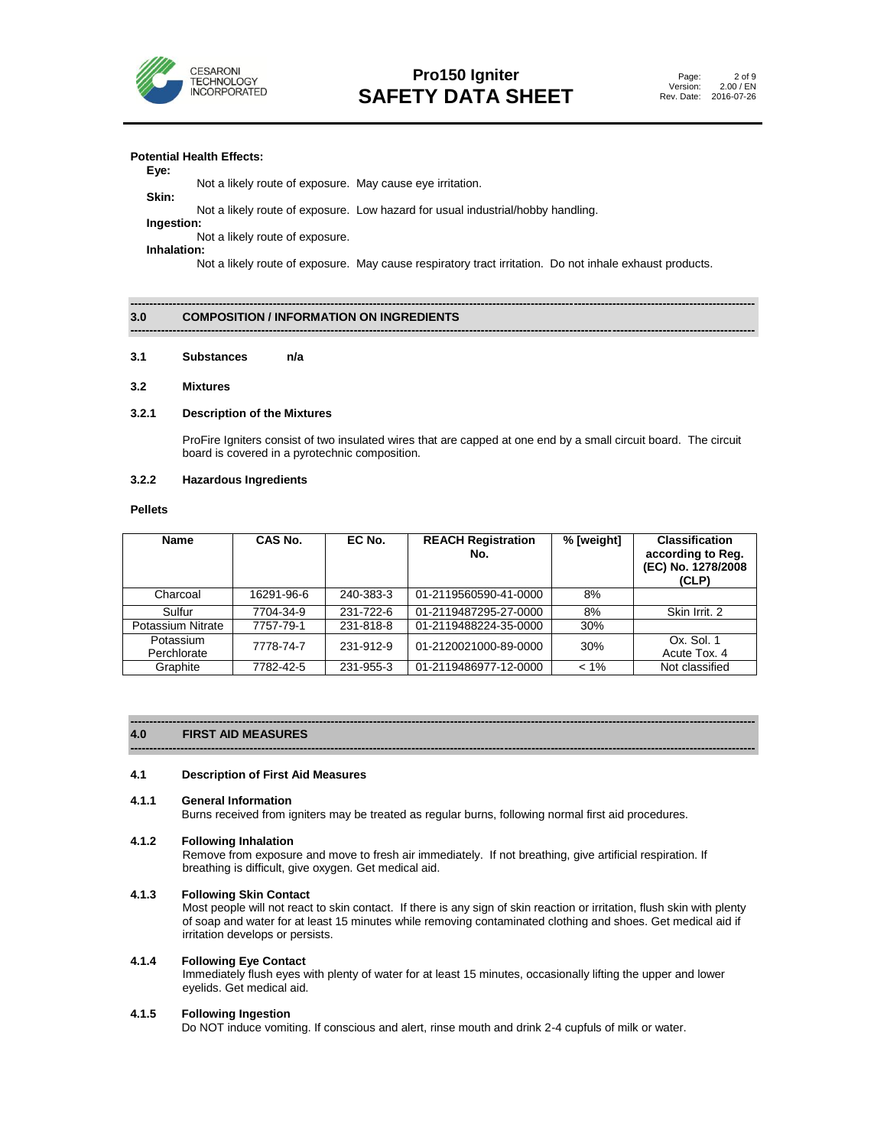

# **Potential Health Effects:**

#### **Eye:**

 Not a likely route of exposure. May cause eye irritation. **Skin:**

Not a likely route of exposure. Low hazard for usual industrial/hobby handling.

**Ingestion:**

Not a likely route of exposure. **Inhalation:**

Not a likely route of exposure. May cause respiratory tract irritation. Do not inhale exhaust products.

**------------------------------------------------------------------------------------------------------------------------------------------------------------------**

#### **------------------------------------------------------------------------------------------------------------------------------------------------------------------ 3.0 COMPOSITION / INFORMATION ON INGREDIENTS**

#### **3.1 Substances n/a**

#### **3.2 Mixtures**

#### **3.2.1 Description of the Mixtures**

ProFire Igniters consist of two insulated wires that are capped at one end by a small circuit board. The circuit board is covered in a pyrotechnic composition.

# **3.2.2 Hazardous Ingredients**

# **Pellets**

| <b>Name</b>              | CAS No.    | EC No.    | <b>REACH Registration</b><br>No. | % [weight] | <b>Classification</b><br>according to Reg.<br>(EC) No. 1278/2008<br>(CLP) |
|--------------------------|------------|-----------|----------------------------------|------------|---------------------------------------------------------------------------|
| Charcoal                 | 16291-96-6 | 240-383-3 | 01-2119560590-41-0000            | 8%         |                                                                           |
| Sulfur                   | 7704-34-9  | 231-722-6 | 01-2119487295-27-0000            | 8%         | Skin Irrit, 2                                                             |
| Potassium Nitrate        | 7757-79-1  | 231-818-8 | 01-2119488224-35-0000            | 30%        |                                                                           |
| Potassium<br>Perchlorate | 7778-74-7  | 231-912-9 | 01-2120021000-89-0000            | 30%        | Ox. Sol. 1<br>Acute Tox. 4                                                |
| Graphite                 | 7782-42-5  | 231-955-3 | 01-2119486977-12-0000            | $< 1\%$    | Not classified                                                            |

#### **------------------------------------------------------------------------------------------------------------------------------------------------------------------ 4.0 FIRST AID MEASURES**

#### **4.1 Description of First Aid Measures**

#### **4.1.1 General Information**

Burns received from igniters may be treated as regular burns, following normal first aid procedures.

**------------------------------------------------------------------------------------------------------------------------------------------------------------------**

#### **4.1.2 Following Inhalation**

Remove from exposure and move to fresh air immediately. If not breathing, give artificial respiration. If breathing is difficult, give oxygen. Get medical aid.

## **4.1.3 Following Skin Contact**

Most people will not react to skin contact. If there is any sign of skin reaction or irritation, flush skin with plenty of soap and water for at least 15 minutes while removing contaminated clothing and shoes. Get medical aid if irritation develops or persists.

### **4.1.4 Following Eye Contact**

Immediately flush eyes with plenty of water for at least 15 minutes, occasionally lifting the upper and lower eyelids. Get medical aid.

### **4.1.5 Following Ingestion**

Do NOT induce vomiting. If conscious and alert, rinse mouth and drink 2-4 cupfuls of milk or water.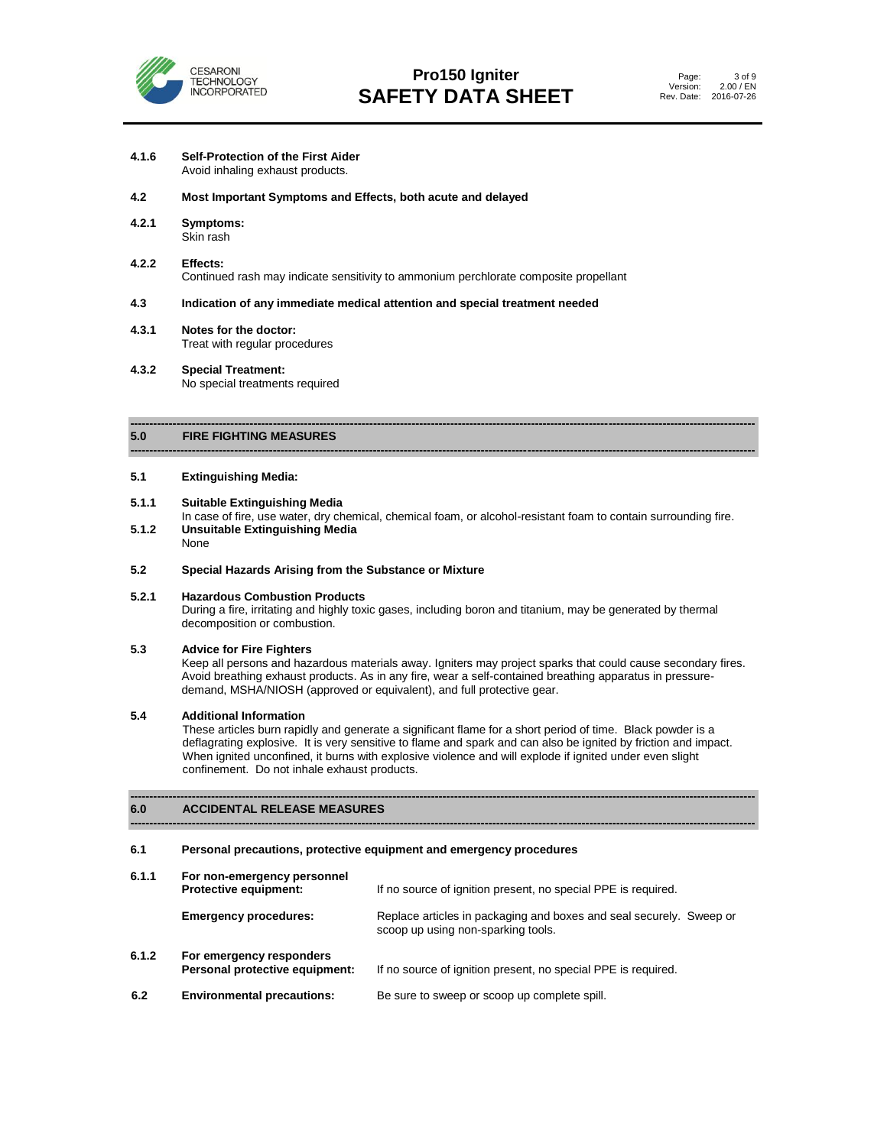

- **4.1.6 Self-Protection of the First Aider** Avoid inhaling exhaust products.
- **4.2 Most Important Symptoms and Effects, both acute and delayed**
- **4.2.1 Symptoms:** Skin rash
- **4.2.2 Effects:** Continued rash may indicate sensitivity to ammonium perchlorate composite propellant

# **4.3 Indication of any immediate medical attention and special treatment needed**

- **4.3.1 Notes for the doctor:** Treat with regular procedures
- **4.3.2 Special Treatment:** No special treatments required

#### **------------------------------------------------------------------------------------------------------------------------------------------------------------------ 5.0 FIRE FIGHTING MEASURES**

#### **5.1 Extinguishing Media:**

### **5.1.1 Suitable Extinguishing Media**

In case of fire, use water, dry chemical, chemical foam, or alcohol-resistant foam to contain surrounding fire. **5.1.2 Unsuitable Extinguishing Media**

**------------------------------------------------------------------------------------------------------------------------------------------------------------------**

None

# **5.2 Special Hazards Arising from the Substance or Mixture**

# **5.2.1 Hazardous Combustion Products**

During a fire, irritating and highly toxic gases, including boron and titanium, may be generated by thermal decomposition or combustion.

#### **5.3 Advice for Fire Fighters**

Keep all persons and hazardous materials away. Igniters may project sparks that could cause secondary fires. Avoid breathing exhaust products. As in any fire, wear a self-contained breathing apparatus in pressuredemand, MSHA/NIOSH (approved or equivalent), and full protective gear.

# **5.4 Additional Information**

These articles burn rapidly and generate a significant flame for a short period of time. Black powder is a deflagrating explosive. It is very sensitive to flame and spark and can also be ignited by friction and impact. When ignited unconfined, it burns with explosive violence and will explode if ignited under even slight confinement. Do not inhale exhaust products.

#### **------------------------------------------------------------------------------------------------------------------------------------------------------------------ 6.0 ACCIDENTAL RELEASE MEASURES**

# **6.1 Personal precautions, protective equipment and emergency procedures**

| 6.1.1 | For non-emergency personnel<br><b>Protective equipment:</b> | If no source of ignition present, no special PPE is required.                                             |
|-------|-------------------------------------------------------------|-----------------------------------------------------------------------------------------------------------|
|       | <b>Emergency procedures:</b>                                | Replace articles in packaging and boxes and seal securely. Sweep or<br>scoop up using non-sparking tools. |
| 6.1.2 | For emergency responders<br>Personal protective equipment:  | If no source of ignition present, no special PPE is required.                                             |
| 6.2   | <b>Environmental precautions:</b>                           | Be sure to sweep or scoop up complete spill.                                                              |

**------------------------------------------------------------------------------------------------------------------------------------------------------------------**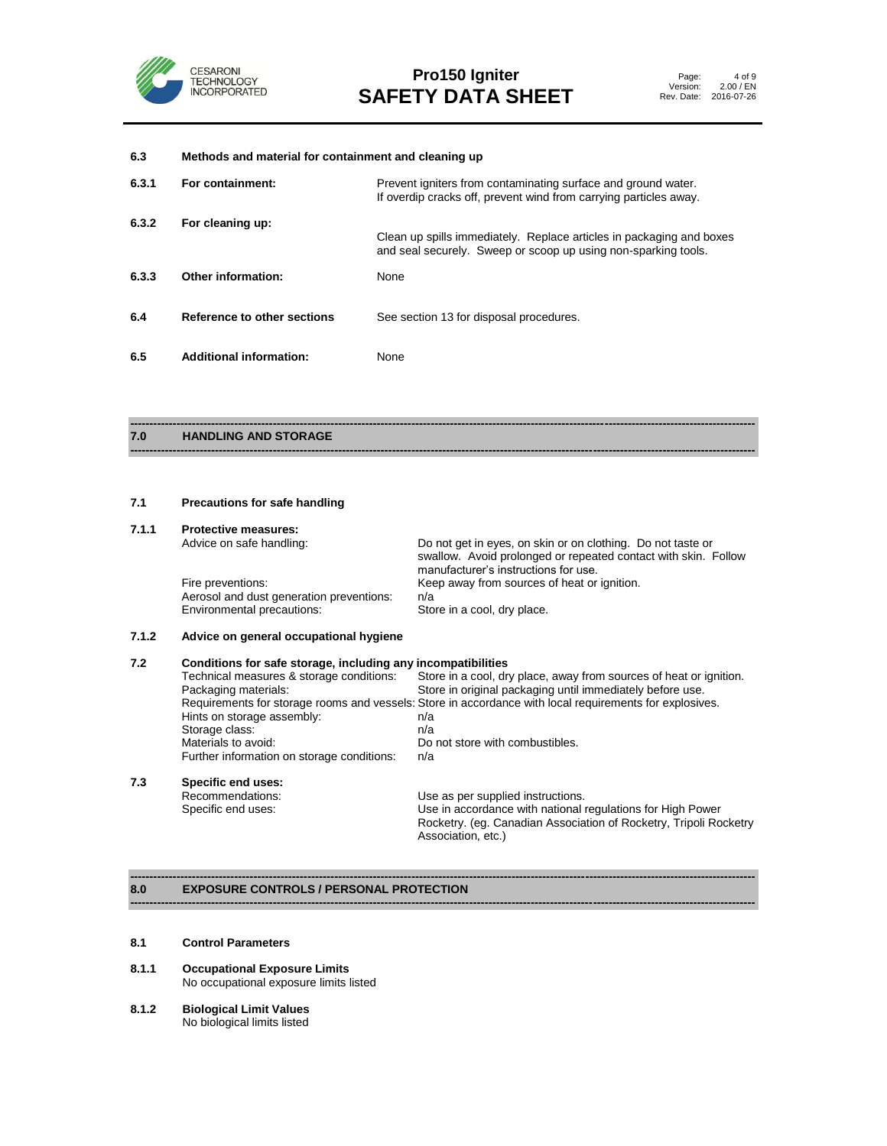

# **6.3 Methods and material for containment and cleaning up 6.3.1 For containment:** Prevent igniters from contaminating surface and ground water. If overdip cracks off, prevent wind from carrying particles away. **6.3.2 For cleaning up:** Clean up spills immediately. Replace articles in packaging and boxes and seal securely. Sweep or scoop up using non-sparking tools. **6.3.3 Other information:** None **6.4 Reference to other sections** See section 13 for disposal procedures. **6.5 Additional information:** None

#### **------------------------------------------------------------------------------------------------------------------------------------------------------------------ 7.0 HANDLING AND STORAGE**

# **7.1 Precautions for safe handling**

#### **7.1.1 Protective measures:**

| Advice on safe handling:                 | Do not get in eyes, on skin or on clothing. Do not taste or<br>swallow. Avoid prolonged or repeated contact with skin. Follow<br>manufacturer's instructions for use. |
|------------------------------------------|-----------------------------------------------------------------------------------------------------------------------------------------------------------------------|
| Fire preventions:                        | Keep away from sources of heat or ignition.                                                                                                                           |
| Aerosol and dust generation preventions: | n/a                                                                                                                                                                   |
| Environmental precautions:               | Store in a cool, dry place.                                                                                                                                           |

**------------------------------------------------------------------------------------------------------------------------------------------------------------------**

# **7.1.2 Advice on general occupational hygiene**

| 7.2 | Conditions for safe storage, including any incompatibilities                                            |                                                                    |  |  |
|-----|---------------------------------------------------------------------------------------------------------|--------------------------------------------------------------------|--|--|
|     | Technical measures & storage conditions:                                                                | Store in a cool, dry place, away from sources of heat or ignition. |  |  |
|     | Packaging materials:                                                                                    | Store in original packaging until immediately before use.          |  |  |
|     | Requirements for storage rooms and vessels: Store in accordance with local requirements for explosives. |                                                                    |  |  |
|     | Hints on storage assembly:                                                                              | n/a                                                                |  |  |
|     | Storage class:                                                                                          | n/a                                                                |  |  |
|     | Materials to avoid:                                                                                     | Do not store with combustibles.                                    |  |  |
|     | Further information on storage conditions:                                                              | n/a                                                                |  |  |
| 7.3 | Specific end uses:                                                                                      |                                                                    |  |  |
|     | Recommendations:                                                                                        | Use as per supplied instructions.                                  |  |  |
|     | Specific end uses:                                                                                      | Use in accordance with national regulations for High Power         |  |  |
|     |                                                                                                         | Rocketry. (eg. Canadian Association of Rocketry, Tripoli Rocketry  |  |  |

Association, etc.)

**------------------------------------------------------------------------------------------------------------------------------------------------------------------**

#### **------------------------------------------------------------------------------------------------------------------------------------------------------------------ 8.0 EXPOSURE CONTROLS / PERSONAL PROTECTION**

#### **8.1 Control Parameters**

- **8.1.1 Occupational Exposure Limits** No occupational exposure limits listed
- **8.1.2 Biological Limit Values** No biological limits listed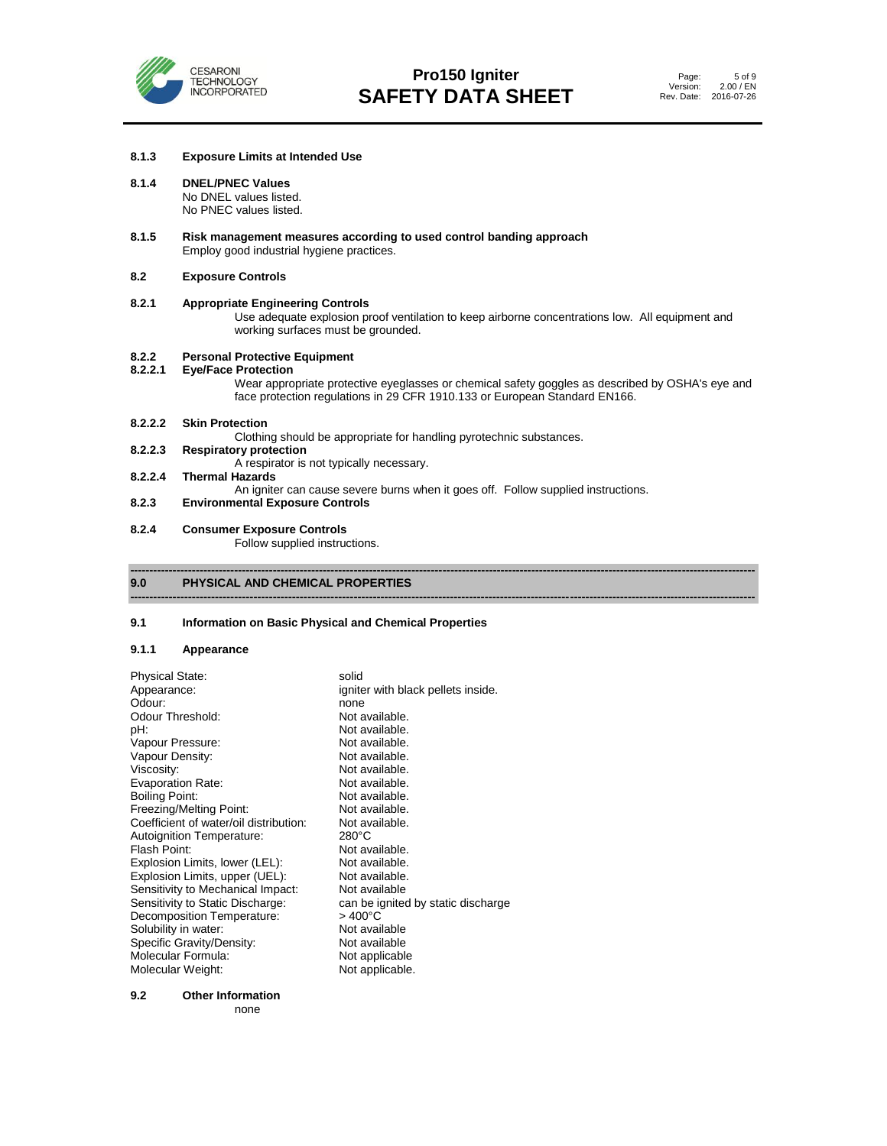

### **8.1.3 Exposure Limits at Intended Use**

## **8.1.4 DNEL/PNEC Values**

No DNEL values listed. No PNEC values listed.

**8.1.5 Risk management measures according to used control banding approach** Employ good industrial hygiene practices.

### **8.2 Exposure Controls**

# **8.2.1 Appropriate Engineering Controls** Use adequate explosion proof ventilation to keep airborne concentrations low. All equipment and working surfaces must be grounded. **8.2.2 Personal Protective Equipment 8.2.2.1 Eye/Face Protection** Wear appropriate protective eyeglasses or chemical safety goggles as described by OSHA's eye and

**------------------------------------------------------------------------------------------------------------------------------------------------------------------**

**------------------------------------------------------------------------------------------------------------------------------------------------------------------**

face protection regulations in 29 CFR 1910.133 or European Standard EN166.

- **8.2.2.2 Skin Protection** Clothing should be appropriate for handling pyrotechnic substances.<br>8.2.2.3 Respiratory protection **8.2.2.3 Respiratory protection**
- A respirator is not typically necessary.
- **8.2.2.4 Thermal Hazards**

An igniter can cause severe burns when it goes off. Follow supplied instructions.

- **8.2.3 Environmental Exposure Controls**
- **8.2.4 Consumer Exposure Controls**

Follow supplied instructions.

# **9.0 PHYSICAL AND CHEMICAL PROPERTIES**

## **9.1 Information on Basic Physical and Chemical Properties**

# **9.1.1 Appearance**

| <b>Physical State:</b><br>Appearance:<br>Odour:<br>Odour Threshold:<br>pH:<br>Vapour Pressure:<br>Vapour Density:<br>Viscosity:<br><b>Evaporation Rate:</b><br>Boiling Point:<br>Freezing/Melting Point:<br>Coefficient of water/oil distribution:<br>Autoignition Temperature:<br>Flash Point:<br>Explosion Limits, lower (LEL):<br>Explosion Limits, upper (UEL):<br>Sensitivity to Mechanical Impact:<br>Sensitivity to Static Discharge:<br>Decomposition Temperature:<br>Solubility in water:<br>Specific Gravity/Density:<br>Molecular Formula: | solid<br>igniter with black pellets inside.<br>none<br>Not available.<br>Not available.<br>Not available.<br>Not available.<br>Not available.<br>Not available.<br>Not available.<br>Not available.<br>Not available.<br>$280^{\circ}$ C<br>Not available.<br>Not available.<br>Not available.<br>Not available<br>can be ignited by static discharge<br>$>400^{\circ}$ C<br>Not available<br>Not available<br>Not applicable |
|-------------------------------------------------------------------------------------------------------------------------------------------------------------------------------------------------------------------------------------------------------------------------------------------------------------------------------------------------------------------------------------------------------------------------------------------------------------------------------------------------------------------------------------------------------|-------------------------------------------------------------------------------------------------------------------------------------------------------------------------------------------------------------------------------------------------------------------------------------------------------------------------------------------------------------------------------------------------------------------------------|
|                                                                                                                                                                                                                                                                                                                                                                                                                                                                                                                                                       |                                                                                                                                                                                                                                                                                                                                                                                                                               |
| Molecular Weight:                                                                                                                                                                                                                                                                                                                                                                                                                                                                                                                                     | Not applicable.                                                                                                                                                                                                                                                                                                                                                                                                               |

**9.2 Other Information**

none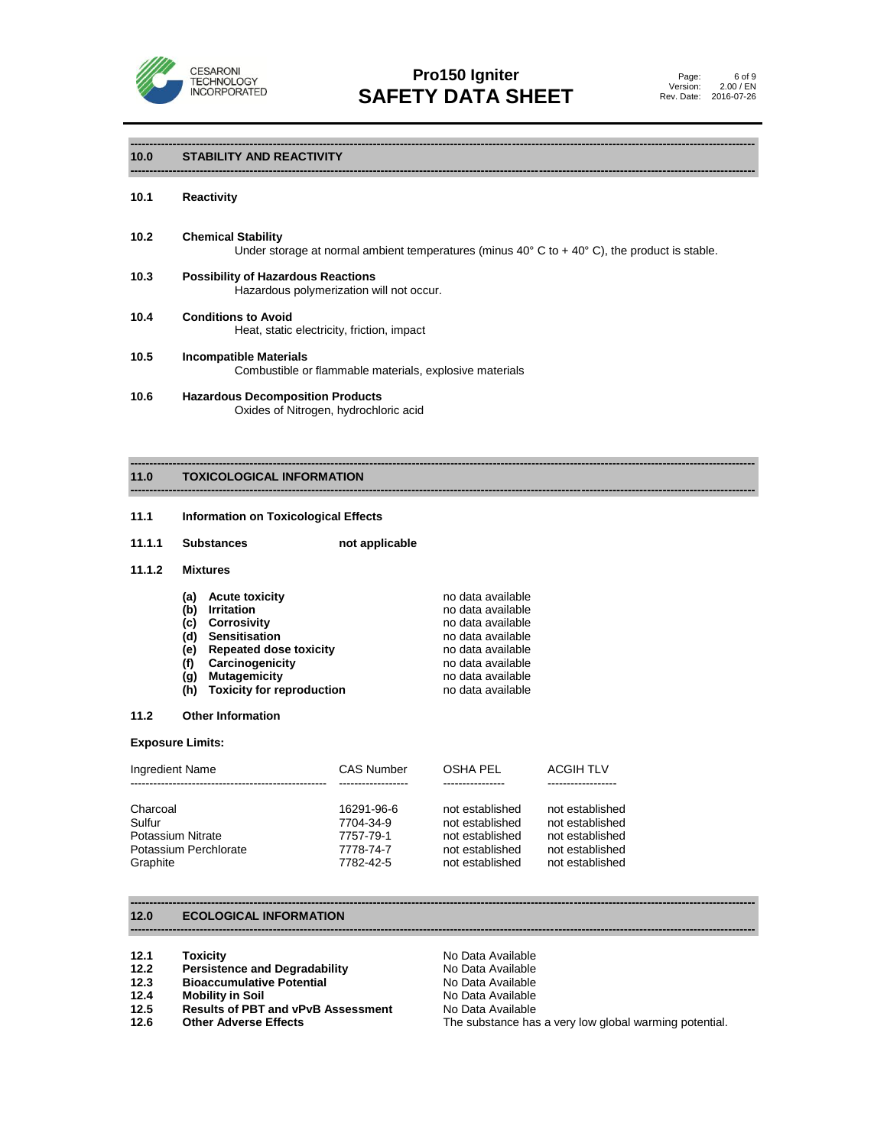

**------------------------------------------------------------------------------------------------------------------------------------------------------------------**

**------------------------------------------------------------------------------------------------------------------------------------------------------------------**

**------------------------------------------------------------------------------------------------------------------------------------------------------------------**

# **10.0 STABILITY AND REACTIVITY**

### **10.1 Reactivity**

- **10.2 Chemical Stability** Under storage at normal ambient temperatures (minus  $40^{\circ}$  C to +  $40^{\circ}$  C), the product is stable.
- **10.3 Possibility of Hazardous Reactions** Hazardous polymerization will not occur.
- **10.4 Conditions to Avoid** Heat, static electricity, friction, impact
- **10.5 Incompatible Materials** Combustible or flammable materials, explosive materials
- **10.6 Hazardous Decomposition Products** Oxides of Nitrogen, hydrochloric acid

#### **------------------------------------------------------------------------------------------------------------------------------------------------------------------ 11.0 TOXICOLOGICAL INFORMATION**

# **11.1 Information on Toxicological Effects**

**11.1.1 Substances not applicable**

## **11.1.2 Mixtures**

| (a) | <b>Acute toxicity</b>            | no data available |
|-----|----------------------------------|-------------------|
| (b) | <b>Irritation</b>                | no data available |
| (c) | <b>Corrosivity</b>               | no data available |
| (d) | Sensitisation                    | no data available |
| (e) | <b>Repeated dose toxicity</b>    | no data available |
| (f) | Carcinogenicity                  | no data available |
| (q) | <b>Mutagemicity</b>              | no data available |
| (h) | <b>Toxicity for reproduction</b> | no data available |

# **11.2 Other Information**

# **Exposure Limits:**

| Ingredient Name       | <b>CAS Number</b> | OSHA PEL        | <b>ACGIH TLV</b> |
|-----------------------|-------------------|-----------------|------------------|
| Charcoal              | 16291-96-6        | not established | not established  |
| Sulfur                | 7704-34-9         | not established | not established  |
| Potassium Nitrate     | 7757-79-1         | not established | not established  |
| Potassium Perchlorate | 7778-74-7         | not established | not established  |
| Graphite              | 7782-42-5         | not established | not established  |

**------------------------------------------------------------------------------------------------------------------------------------------------------------------**

**------------------------------------------------------------------------------------------------------------------------------------------------------------------**

# **12.0 ECOLOGICAL INFORMATION**

- 
- **12.1 Toxicity Communist Communist Communist Provide Available<br><b>12.2 Persistence and Degradability Communist Provide Available 12.2 Persistence and Degradability** No Data Available
- **12.3 Bioaccumulative Potential**<br>**12.4 Mobility in Soil**
- 
- **12.4 Mobility in Soil 12.4 Mobility in Soil**<br>**12.5 Results of PBT and vPvB Assessment** No Data Available **Results of PBT and vPvB Assessment**<br>Other Adverse Effects
- 

**12.6 Other Adverse Effects** The substance has a very low global warming potential.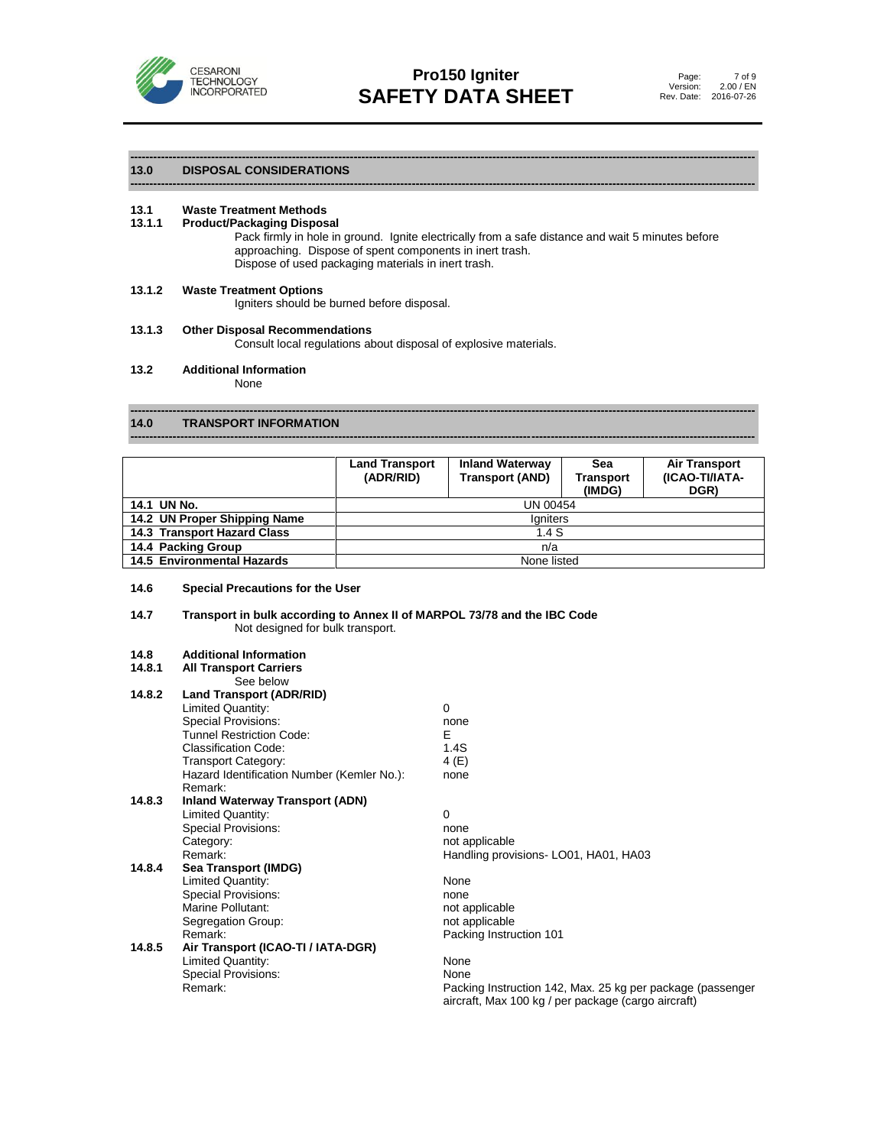

**------------------------------------------------------------------------------------------------------------------------------------------------------------------**

#### **------------------------------------------------------------------------------------------------------------------------------------------------------------------ 13.0 DISPOSAL CONSIDERATIONS**

# **13.1 Waste Treatment Methods**

#### **13.1.1 Product/Packaging Disposal**

Pack firmly in hole in ground. Ignite electrically from a safe distance and wait 5 minutes before approaching. Dispose of spent components in inert trash. Dispose of used packaging materials in inert trash.

#### **13.1.2 Waste Treatment Options**

Igniters should be burned before disposal.

# **13.1.3 Other Disposal Recommendations**

Consult local regulations about disposal of explosive materials.

#### **13.2 Additional Information**

None

#### **------------------------------------------------------------------------------------------------------------------------------------------------------------------ 14.0 TRANSPORT INFORMATION**

|                              | <b>Land Transport</b><br>(ADR/RID) | <b>Inland Waterway</b><br><b>Transport (AND)</b> | Sea<br><b>Transport</b><br>(IMDG) | <b>Air Transport</b><br>(ICAO-TI/IATA-<br>DGR) |
|------------------------------|------------------------------------|--------------------------------------------------|-----------------------------------|------------------------------------------------|
| 14.1 UN No.                  |                                    | UN 00454                                         |                                   |                                                |
| 14.2 UN Proper Shipping Name |                                    | laniters                                         |                                   |                                                |
| 14.3 Transport Hazard Class  |                                    | 1.4S                                             |                                   |                                                |
| 14.4 Packing Group           |                                    | n/a                                              |                                   |                                                |
| 14.5 Environmental Hazards   |                                    | None listed                                      |                                   |                                                |

**------------------------------------------------------------------------------------------------------------------------------------------------------------------**

### **14.6 Special Precautions for the User**

# **14.7 Transport in bulk according to Annex II of MARPOL 73/78 and the IBC Code** Not designed for bulk transport.

#### **14.8 Additional Information**

| 14.8.1 | <b>All Transport Carriers</b>              |                                                                                                                   |
|--------|--------------------------------------------|-------------------------------------------------------------------------------------------------------------------|
|        | See below                                  |                                                                                                                   |
| 14.8.2 | <b>Land Transport (ADR/RID)</b>            |                                                                                                                   |
|        | Limited Quantity:                          | $\Omega$                                                                                                          |
|        | Special Provisions:                        | none                                                                                                              |
|        | <b>Tunnel Restriction Code:</b>            | Е                                                                                                                 |
|        | <b>Classification Code:</b>                | 1.4S                                                                                                              |
|        | <b>Transport Category:</b>                 | 4 (E)                                                                                                             |
|        | Hazard Identification Number (Kemler No.): | none                                                                                                              |
|        | Remark:                                    |                                                                                                                   |
| 14.8.3 | <b>Inland Waterway Transport (ADN)</b>     |                                                                                                                   |
|        | Limited Quantity:                          | $\Omega$                                                                                                          |
|        | Special Provisions:                        | none                                                                                                              |
|        | Category:                                  | not applicable                                                                                                    |
|        | Remark:                                    | Handling provisions-LO01, HA01, HA03                                                                              |
| 14.8.4 | Sea Transport (IMDG)                       |                                                                                                                   |
|        | Limited Quantity:                          | None                                                                                                              |
|        | <b>Special Provisions:</b>                 | none                                                                                                              |
|        | Marine Pollutant:                          | not applicable                                                                                                    |
|        | Segregation Group:                         | not applicable                                                                                                    |
|        | Remark:                                    | Packing Instruction 101                                                                                           |
| 14.8.5 | Air Transport (ICAO-TI / IATA-DGR)         |                                                                                                                   |
|        | Limited Quantity:                          | None                                                                                                              |
|        | Special Provisions:                        | None                                                                                                              |
|        | Remark:                                    | Packing Instruction 142, Max. 25 kg per package (passenger<br>aircraft, Max 100 kg / per package (cargo aircraft) |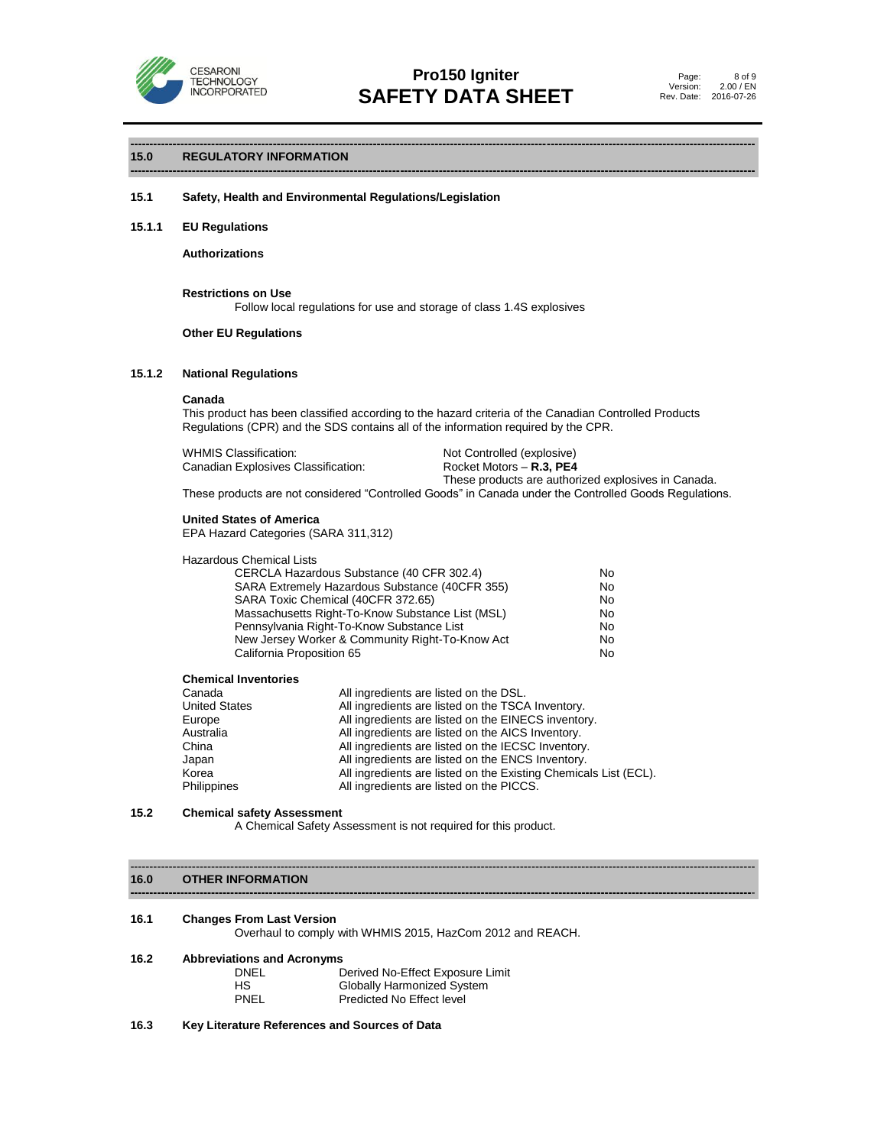

**------------------------------------------------------------------------------------------------------------------------------------------------------------------**

**------------------------------------------------------------------------------------------------------------------------------------------------------------------**

# **15.0 REGULATORY INFORMATION**

# **15.1 Safety, Health and Environmental Regulations/Legislation**

### **15.1.1 EU Regulations**

**Authorizations**

**Restrictions on Use** Follow local regulations for use and storage of class 1.4S explosives

# **Other EU Regulations**

### **15.1.2 National Regulations**

#### **Canada**

This product has been classified according to the hazard criteria of the Canadian Controlled Products Regulations (CPR) and the SDS contains all of the information required by the CPR.

| <b>WHMIS Classification:</b>        |  |
|-------------------------------------|--|
| Canadian Explosives Classification: |  |

Not Controlled (explosive) Rocket Motors – R.3, PE4

These products are authorized explosives in Canada. These products are not considered "Controlled Goods" in Canada under the Controlled Goods Regulations.

# **United States of America**

EPA Hazard Categories (SARA 311,312)

| CERCLA Hazardous Substance (40 CFR 302.4)        | No.       |
|--------------------------------------------------|-----------|
| SARA Extremely Hazardous Substance (40CFR 355)   | No.       |
| SARA Toxic Chemical (40CFR 372.65)               | <b>No</b> |
| Massachusetts Right-To-Know Substance List (MSL) | No.       |
| Pennsylvania Right-To-Know Substance List        | No.       |
| New Jersey Worker & Community Right-To-Know Act  | No.       |
| California Proposition 65                        | No.       |

#### **Chemical Inventories**

| Canada               | All ingredients are listed on the DSL.                           |
|----------------------|------------------------------------------------------------------|
| <b>United States</b> | All ingredients are listed on the TSCA Inventory.                |
| Europe               | All ingredients are listed on the EINECS inventory.              |
| Australia            | All ingredients are listed on the AICS Inventory.                |
| China                | All ingredients are listed on the IECSC Inventory.               |
| Japan                | All ingredients are listed on the ENCS Inventory.                |
| Korea                | All ingredients are listed on the Existing Chemicals List (ECL). |
| Philippines          | All ingredients are listed on the PICCS.                         |

# **15.2 Chemical safety Assessment**

A Chemical Safety Assessment is not required for this product.

#### **16.0 OTHER INFORMATION**

#### **16.1 Changes From Last Version**

Overhaul to comply with WHMIS 2015, HazCom 2012 and REACH.

------------------------------------------------------------------------------------------------------------------------------------------------------------------

**-----------------------------------------------------------------------------------------------------------------------------------------------------------------**-

| 16.2 | <b>Abbreviations and Acronyms</b> |                                  |  |
|------|-----------------------------------|----------------------------------|--|
|      | DNEL                              | Derived No-Effect Exposure Limit |  |
|      | НS                                | Globally Harmonized System       |  |
|      | PNEL                              | Predicted No Effect level        |  |

### **16.3 Key Literature References and Sources of Data**